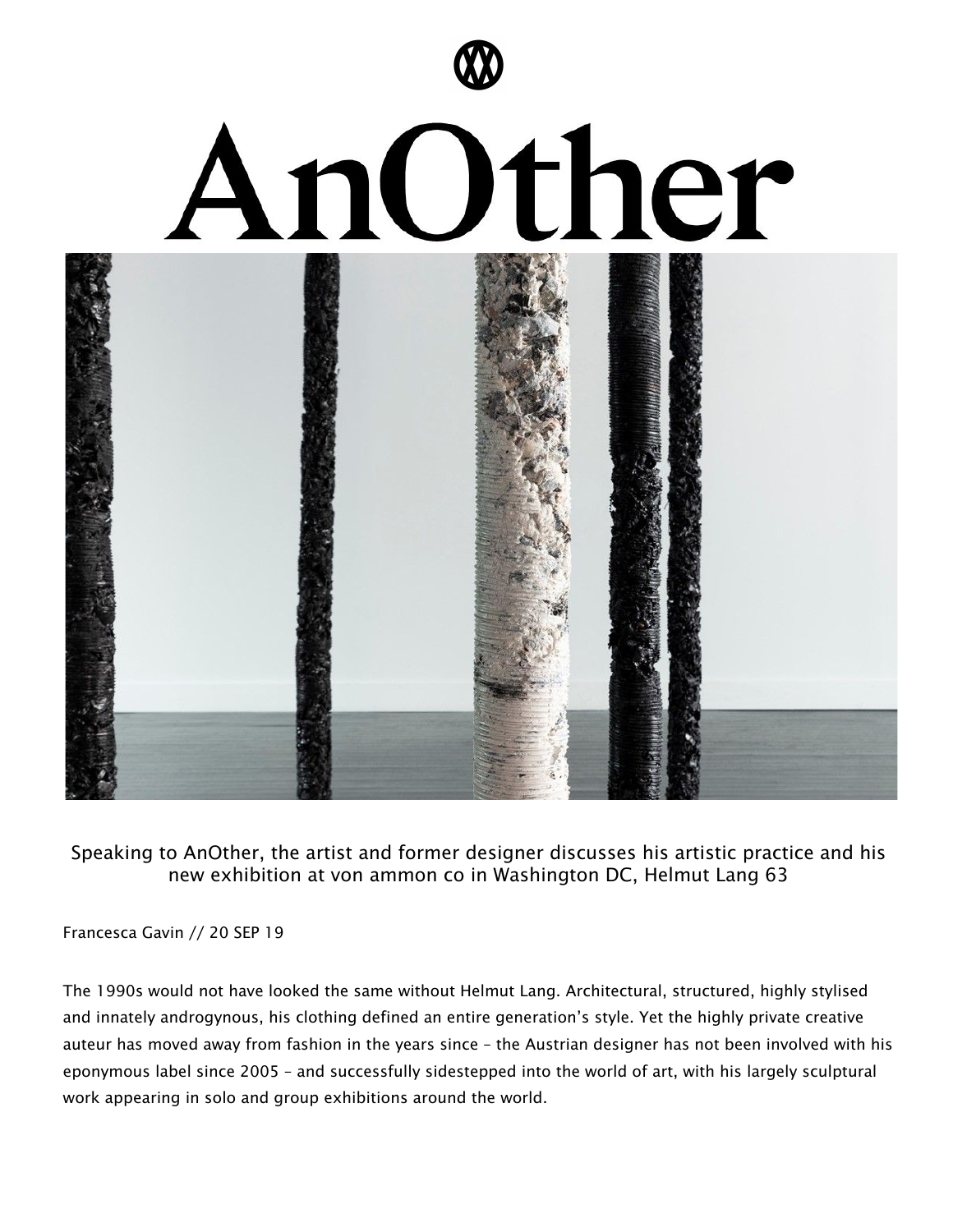

Speaking to AnOther, the artist and former designer discusses his artistic practice and his new exhibition at von ammon co in Washington DC, Helmut Lang 63

Francesca Gavin // 20 SEP 19

The 1990s would not have looked the same without Helmut Lang. Architectural, structured, highly stylised and innately androgynous, his clothing defined an entire generation's style. Yet the highly private creative auteur has moved away from fashion in the years since – the Austrian designer has not been involved with his eponymous label since 2005 – and successfully sidestepped into the world of art, with his largely sculptural work appearing in solo and group exhibitions around the world.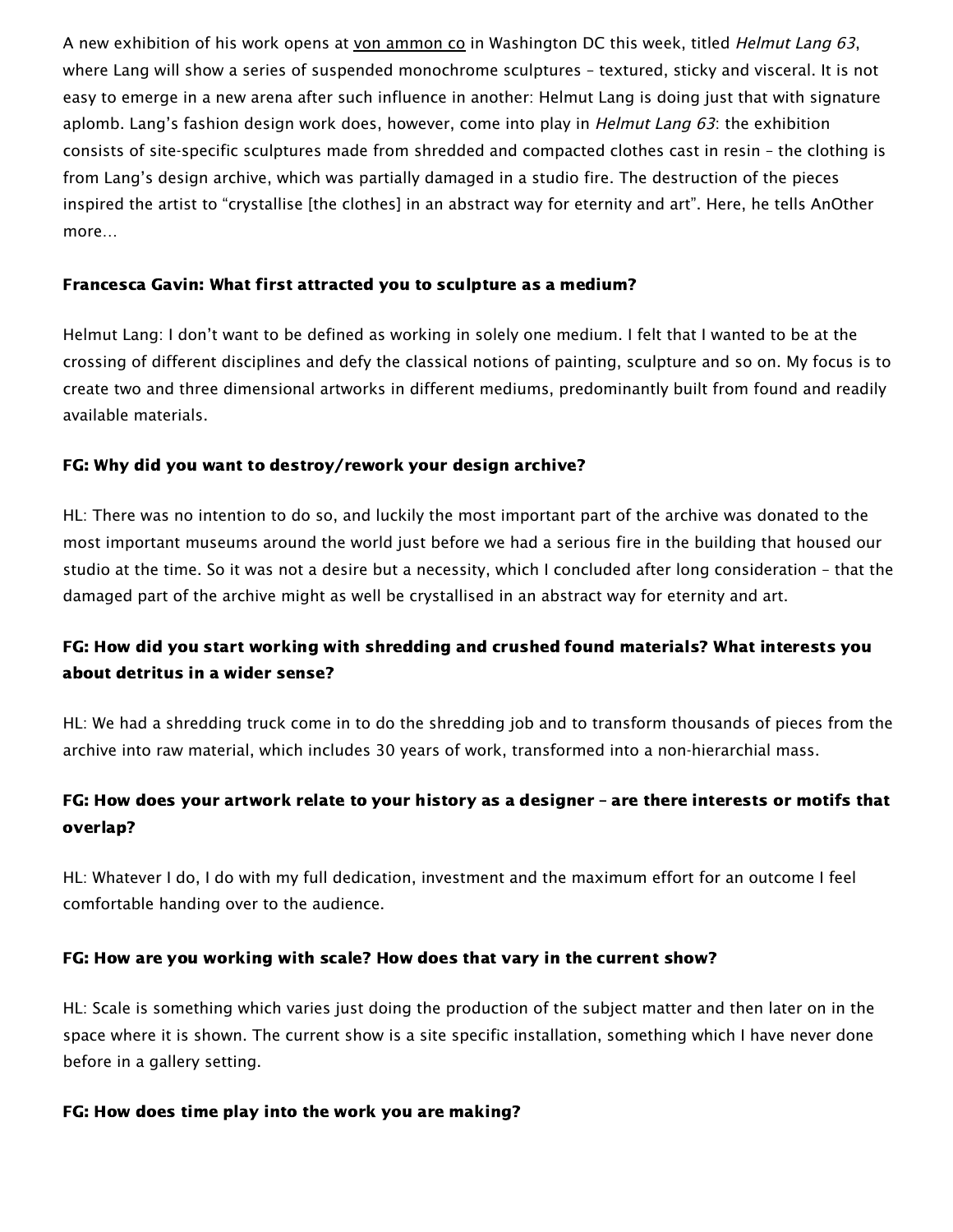A new exhibition of his work opens at von [ammon](https://www.vonammon.co/helmutlang) co in Washington DC this week, titled Helmut Lang 63, where Lang will show a series of suspended monochrome sculptures – textured, sticky and visceral. It is not easy to emerge in a new arena after such influence in another: Helmut Lang is doing just that with signature aplomb. Lang's fashion design work does, however, come into play in *Helmut Lang 63*: the exhibition consists of site-specific sculptures made from shredded and compacted clothes cast in resin – the clothing is from Lang's design archive, which was partially damaged in a studio fire. The destruction of the pieces inspired the artist to "crystallise [the clothes] in an abstract way for eternity and art". Here, he tells AnOther more…

#### Francesca Gavin: What first attracted you to sculpture as a medium?

Helmut Lang: I don't want to be defined as working in solely one medium. I felt that I wanted to be at the crossing of different disciplines and defy the classical notions of painting, sculpture and so on. My focus is to create two and three dimensional artworks in different mediums, predominantly built from found and readily available materials.

### FG: Why did you want to destroy/rework your design archive?

HL: There was no intention to do so, and luckily the most important part of the archive was donated to the most important museums around the world just before we had a serious fire in the building that housed our studio at the time. So it was not a desire but a necessity, which I concluded after long consideration – that the damaged part of the archive might as well be crystallised in an abstract way for eternity and art.

## FG: How did you start working with shredding and crushed found materials? What interests you about detritus in a wider sense?

HL: We had a shredding truck come in to do the shredding job and to transform thousands of pieces from the archive into raw material, which includes 30 years of work, transformed into a non-hierarchial mass.

# FG: How does your artwork relate to your history as a designer – are there interests or motifs that overlap?

HL: Whatever I do, I do with my full dedication, investment and the maximum effort for an outcome I feel comfortable handing over to the audience.

### FG: How are you working with scale? How does that vary in the current show?

HL: Scale is something which varies just doing the production of the subject matter and then later on in the space where it is shown. The current show is a site specific installation, something which I have never done before in a gallery setting.

### FG: How does time play into the work you are making?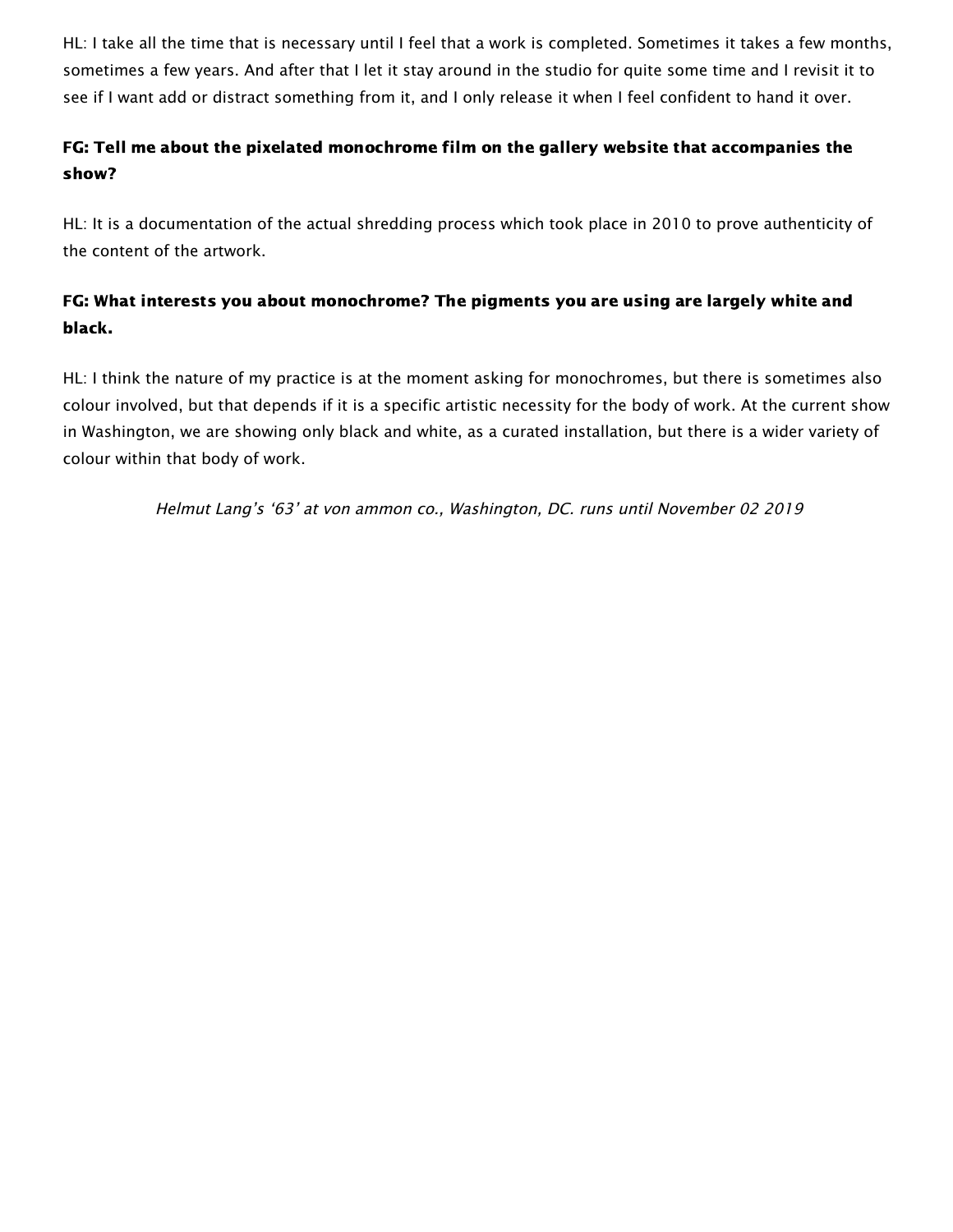HL: I take all the time that is necessary until I feel that a work is completed. Sometimes it takes a few months, sometimes a few years. And after that I let it stay around in the studio for quite some time and I revisit it to see if I want add or distract something from it, and I only release it when I feel confident to hand it over.

## FG: Tell me about the pixelated monochrome film on the gallery website that accompanies the show?

HL: It is a documentation of the actual shredding process which took place in 2010 to prove authenticity of the content of the artwork.

# FG: What interests you about monochrome? The pigments you are using are largely white and black.

HL: I think the nature of my practice is at the moment asking for monochromes, but there is sometimes also colour involved, but that depends if it is a specific artistic necessity for the body of work. At the current show in Washington, we are showing only black and white, as a curated installation, but there is a wider variety of colour within that body of work.

Helmut Lang's '63' at von ammon co., Washington, DC. runs until November 02 2019